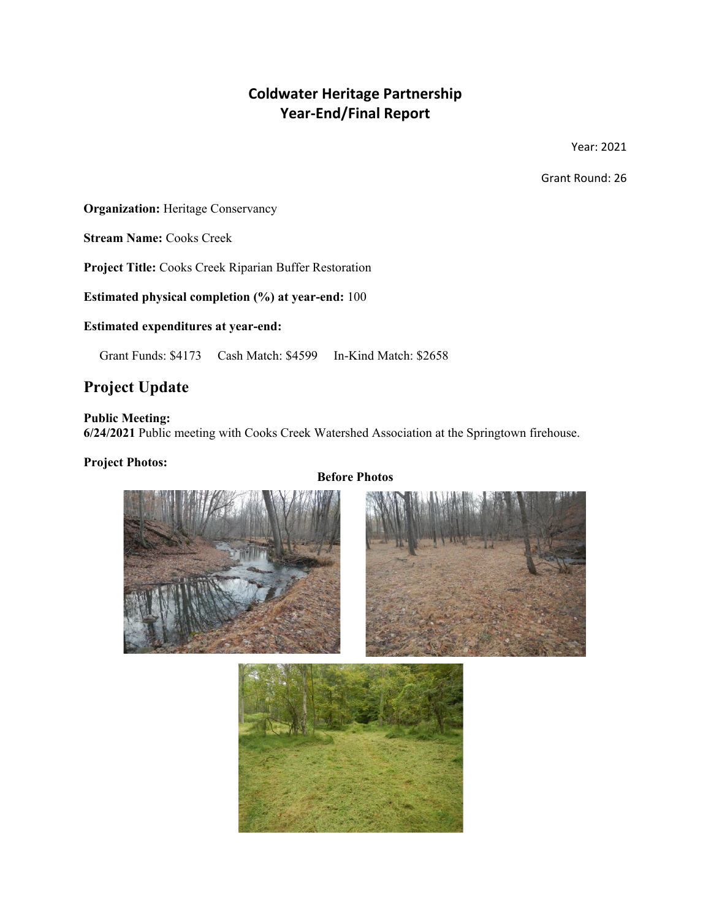# **Coldwater Heritage Partnership Year-End/Final Report**

Year: 2021

Grant Round: 26

**Organization:** Heritage Conservancy

**Stream Name:** Cooks Creek

**Project Title:** Cooks Creek Riparian Buffer Restoration

**Estimated physical completion (%) at year-end:** 100

**Estimated expenditures at year-end:**

Grant Funds: \$4173 Cash Match: \$4599 In-Kind Match: \$2658

## **Project Update**

**Public Meeting:**

**6/24/2021** Public meeting with Cooks Creek Watershed Association at the Springtown firehouse.

#### **Project Photos:**

## **Before Photos**





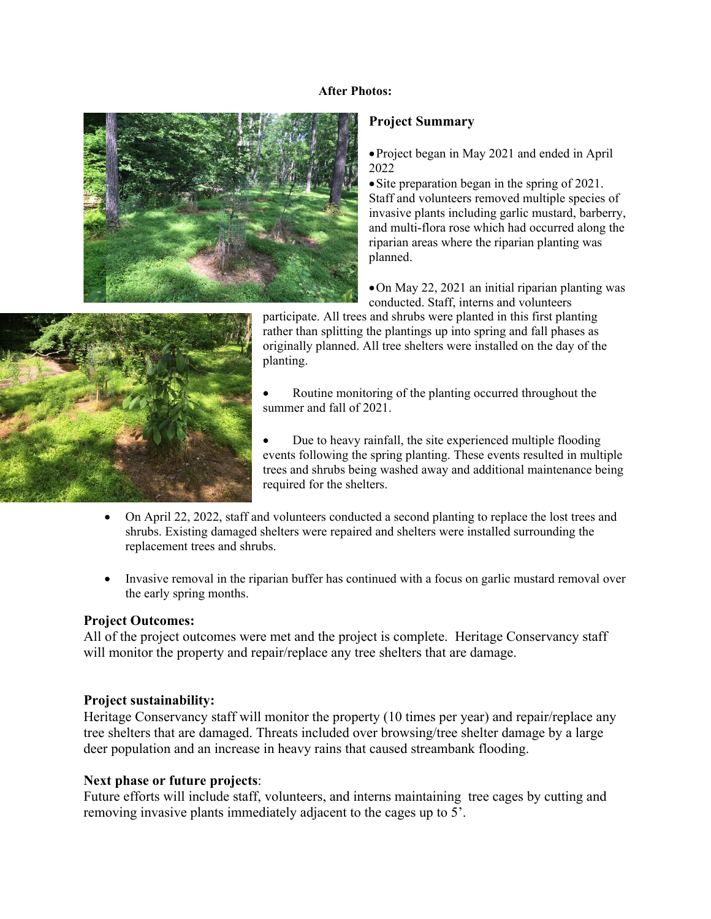#### **After Photos:**



### **Project Summary**

•Project began in May 2021 and ended in April 2022

• Site preparation began in the spring of 2021. Staff and volunteers removed multiple species of invasive plants including garlic mustard, barberry, and multi-flora rose which had occurred along the riparian areas where the riparian planting was planned.

•On May 22, 2021 an initial riparian planting was conducted. Staff, interns and volunteers



participate. All trees and shrubs were planted in this first planting rather than splitting the plantings up into spring and fall phases as originally planned. All tree shelters were installed on the day of the planting.

- Routine monitoring of the planting occurred throughout the summer and fall of 2021.
- Due to heavy rainfall, the site experienced multiple flooding events following the spring planting. These events resulted in multiple trees and shrubs being washed away and additional maintenance being required for the shelters.
- On April 22, 2022, staff and volunteers conducted a second planting to replace the lost trees and shrubs. Existing damaged shelters were repaired and shelters were installed surrounding the replacement trees and shrubs.
- Invasive removal in the riparian buffer has continued with a focus on garlic mustard removal over the early spring months.

#### **Project Outcomes:**

All of the project outcomes were met and the project is complete. Heritage Conservancy staff will monitor the property and repair/replace any tree shelters that are damage.

#### **Project sustainability:**

Heritage Conservancy staff will monitor the property (10 times per year) and repair/replace any tree shelters that are damaged. Threats included over browsing/tree shelter damage by a large deer population and an increase in heavy rains that caused streambank flooding.

## **Next phase or future projects**:

Future efforts will include staff, volunteers, and interns maintaining tree cages by cutting and removing invasive plants immediately adjacent to the cages up to 5'.